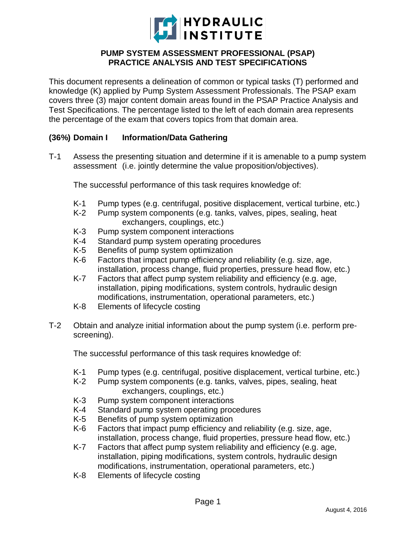

## **PUMP SYSTEM ASSESSMENT PROFESSIONAL (PSAP) PRACTICE ANALYSIS AND TEST SPECIFICATIONS**

This document represents a delineation of common or typical tasks (T) performed and knowledge (K) applied by Pump System Assessment Professionals. The PSAP exam covers three (3) major content domain areas found in the PSAP Practice Analysis and Test Specifications. The percentage listed to the left of each domain area represents the percentage of the exam that covers topics from that domain area.

## **(36%) Domain I Information/Data Gathering**

T-1 Assess the presenting situation and determine if it is amenable to a pump system assessment (i.e. jointly determine the value proposition/objectives).

The successful performance of this task requires knowledge of:

- K-1 Pump types (e.g. centrifugal, positive displacement, vertical turbine, etc.)
- K-2 Pump system components (e.g. tanks, valves, pipes, sealing, heat exchangers, couplings, etc.)
- K-3 Pump system component interactions
- K-4 Standard pump system operating procedures
- K-5 Benefits of pump system optimization
- K-6 Factors that impact pump efficiency and reliability (e.g. size, age, installation, process change, fluid properties, pressure head flow, etc.)
- K-7 Factors that affect pump system reliability and efficiency (e.g. age, installation, piping modifications, system controls, hydraulic design modifications, instrumentation, operational parameters, etc.)
- K-8 Elements of lifecycle costing
- T-2 Obtain and analyze initial information about the pump system (i.e. perform prescreening).

- K-1 Pump types (e.g. centrifugal, positive displacement, vertical turbine, etc.)<br>K-2 Pump system components (e.g. tanks, valves, pipes, sealing, heat
- Pump system components (e.g. tanks, valves, pipes, sealing, heat exchangers, couplings, etc.)
- K-3 Pump system component interactions<br>K-4 Standard pump system operating proc
- Standard pump system operating procedures
- K-5 Benefits of pump system optimization
- K-6 Factors that impact pump efficiency and reliability (e.g. size, age, installation, process change, fluid properties, pressure head flow, etc.)
- K-7 Factors that affect pump system reliability and efficiency (e.g. age, installation, piping modifications, system controls, hydraulic design modifications, instrumentation, operational parameters, etc.)
- K-8 Elements of lifecycle costing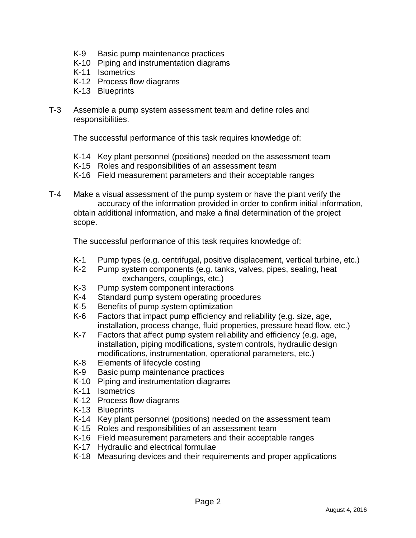- K-9 Basic pump maintenance practices
- K-10 Piping and instrumentation diagrams
- K-11 Isometrics
- K-12 Process flow diagrams
- K-13 Blueprints
- T-3 Assemble a pump system assessment team and define roles and responsibilities.

The successful performance of this task requires knowledge of:

- K-14 Key plant personnel (positions) needed on the assessment team
- K-15 Roles and responsibilities of an assessment team
- K-16 Field measurement parameters and their acceptable ranges
- T-4 Make a visual assessment of the pump system or have the plant verify the accuracy of the information provided in order to confirm initial information, obtain additional information, and make a final determination of the project scope.

- K-1 Pump types (e.g. centrifugal, positive displacement, vertical turbine, etc.)<br>K-2 Pump system components (e.g. tanks, valves, pipes, sealing, heat
- Pump system components (e.g. tanks, valves, pipes, sealing, heat exchangers, couplings, etc.)
- K-3 Pump system component interactions
- K-4 Standard pump system operating procedures
- K-5 Benefits of pump system optimization<br>K-6 Factors that impact pump efficiency are
- Factors that impact pump efficiency and reliability (e.g. size, age, installation, process change, fluid properties, pressure head flow, etc.)
- K-7 Factors that affect pump system reliability and efficiency (e.g. age, installation, piping modifications, system controls, hydraulic design modifications, instrumentation, operational parameters, etc.)
- K-8 Elements of lifecycle costing
- K-9 Basic pump maintenance practices
- K-10 Piping and instrumentation diagrams
- K-11 Isometrics
- K-12 Process flow diagrams
- K-13 Blueprints
- K-14 Key plant personnel (positions) needed on the assessment team
- K-15 Roles and responsibilities of an assessment team
- K-16 Field measurement parameters and their acceptable ranges
- K-17 Hydraulic and electrical formulae
- K-18 Measuring devices and their requirements and proper applications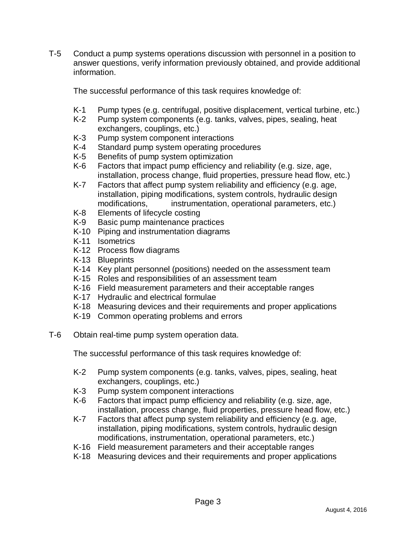T-5 Conduct a pump systems operations discussion with personnel in a position to answer questions, verify information previously obtained, and provide additional information.

The successful performance of this task requires knowledge of:

- K-1 Pump types (e.g. centrifugal, positive displacement, vertical turbine, etc.)
- K-2 Pump system components (e.g. tanks, valves, pipes, sealing, heat exchangers, couplings, etc.)
- K-3 Pump system component interactions
- K-4 Standard pump system operating procedures
- K-5 Benefits of pump system optimization
- K-6 Factors that impact pump efficiency and reliability (e.g. size, age, installation, process change, fluid properties, pressure head flow, etc.)
- K-7 Factors that affect pump system reliability and efficiency (e.g. age, installation, piping modifications, system controls, hydraulic design modifications, instrumentation, operational parameters, etc.)
- K-8 Elements of lifecycle costing
- K-9 Basic pump maintenance practices
- K-10 Piping and instrumentation diagrams
- K-11 Isometrics
- K-12 Process flow diagrams
- K-13 Blueprints
- K-14 Key plant personnel (positions) needed on the assessment team
- K-15 Roles and responsibilities of an assessment team
- K-16 Field measurement parameters and their acceptable ranges
- K-17 Hydraulic and electrical formulae
- K-18 Measuring devices and their requirements and proper applications
- K-19 Common operating problems and errors
- T-6 Obtain real-time pump system operation data.

- K-2 Pump system components (e.g. tanks, valves, pipes, sealing, heat exchangers, couplings, etc.)
- K-3 Pump system component interactions
- K-6 Factors that impact pump efficiency and reliability (e.g. size, age, installation, process change, fluid properties, pressure head flow, etc.)
- K-7 Factors that affect pump system reliability and efficiency (e.g. age, installation, piping modifications, system controls, hydraulic design modifications, instrumentation, operational parameters, etc.)
- K-16 Field measurement parameters and their acceptable ranges
- K-18 Measuring devices and their requirements and proper applications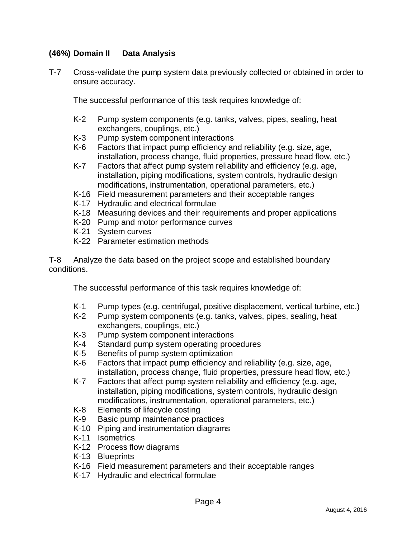# **(46%) Domain II Data Analysis**

T-7 Cross-validate the pump system data previously collected or obtained in order to ensure accuracy.

The successful performance of this task requires knowledge of:

- K-2 Pump system components (e.g. tanks, valves, pipes, sealing, heat exchangers, couplings, etc.)
- K-3 Pump system component interactions
- K-6 Factors that impact pump efficiency and reliability (e.g. size, age, installation, process change, fluid properties, pressure head flow, etc.)
- K-7 Factors that affect pump system reliability and efficiency (e.g. age, installation, piping modifications, system controls, hydraulic design modifications, instrumentation, operational parameters, etc.)
- K-16 Field measurement parameters and their acceptable ranges
- K-17 Hydraulic and electrical formulae
- K-18 Measuring devices and their requirements and proper applications
- K-20 Pump and motor performance curves
- K-21 System curves
- K-22 Parameter estimation methods

T-8 Analyze the data based on the project scope and established boundary conditions.

- K-1 Pump types (e.g. centrifugal, positive displacement, vertical turbine, etc.)
- K-2 Pump system components (e.g. tanks, valves, pipes, sealing, heat exchangers, couplings, etc.)
- K-3 Pump system component interactions<br>K-4 Standard pump system operating proc
- Standard pump system operating procedures
- K-5 Benefits of pump system optimization
- K-6 Factors that impact pump efficiency and reliability (e.g. size, age, installation, process change, fluid properties, pressure head flow, etc.)
- K-7 Factors that affect pump system reliability and efficiency (e.g. age, installation, piping modifications, system controls, hydraulic design modifications, instrumentation, operational parameters, etc.)
- K-8 Elements of lifecycle costing
- K-9 Basic pump maintenance practices
- K-10 Piping and instrumentation diagrams
- K-11 Isometrics
- K-12 Process flow diagrams
- K-13 Blueprints
- K-16 Field measurement parameters and their acceptable ranges
- K-17 Hydraulic and electrical formulae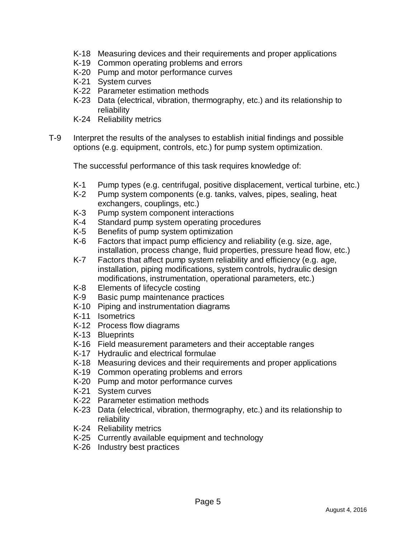- K-18 Measuring devices and their requirements and proper applications
- K-19 Common operating problems and errors
- K-20 Pump and motor performance curves
- K-21 System curves
- K-22 Parameter estimation methods
- K-23 Data (electrical, vibration, thermography, etc.) and its relationship to reliability
- K-24 Reliability metrics
- T-9 Interpret the results of the analyses to establish initial findings and possible options (e.g. equipment, controls, etc.) for pump system optimization.

- K-1 Pump types (e.g. centrifugal, positive displacement, vertical turbine, etc.)<br>K-2 Pump system components (e.g. tanks, valves, pipes, sealing, heat
- Pump system components (e.g. tanks, valves, pipes, sealing, heat exchangers, couplings, etc.)
- K-3 Pump system component interactions
- K-4 Standard pump system operating procedures
- K-5 Benefits of pump system optimization
- K-6 Factors that impact pump efficiency and reliability (e.g. size, age, installation, process change, fluid properties, pressure head flow, etc.)
- K-7 Factors that affect pump system reliability and efficiency (e.g. age, installation, piping modifications, system controls, hydraulic design modifications, instrumentation, operational parameters, etc.)
- K-8 Elements of lifecycle costing
- K-9 Basic pump maintenance practices
- K-10 Piping and instrumentation diagrams
- K-11 Isometrics
- K-12 Process flow diagrams
- K-13 Blueprints
- K-16 Field measurement parameters and their acceptable ranges
- K-17 Hydraulic and electrical formulae
- K-18 Measuring devices and their requirements and proper applications
- K-19 Common operating problems and errors
- K-20 Pump and motor performance curves
- K-21 System curves
- K-22 Parameter estimation methods
- K-23 Data (electrical, vibration, thermography, etc.) and its relationship to reliability
- K-24 Reliability metrics
- K-25 Currently available equipment and technology
- K-26 Industry best practices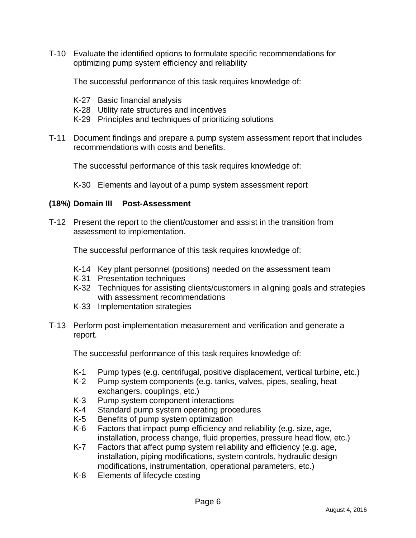T-10 Evaluate the identified options to formulate specific recommendations for optimizing pump system efficiency and reliability

The successful performance of this task requires knowledge of:

- K-27 Basic financial analysis
- K-28 Utility rate structures and incentives
- K-29 Principles and techniques of prioritizing solutions
- T-11 Document findings and prepare a pump system assessment report that includes recommendations with costs and benefits.

The successful performance of this task requires knowledge of:

K-30 Elements and layout of a pump system assessment report

#### **(18%) Domain III Post-Assessment**

T-12 Present the report to the client/customer and assist in the transition from assessment to implementation.

The successful performance of this task requires knowledge of:

- K-14 Key plant personnel (positions) needed on the assessment team
- K-31 Presentation techniques
- K-32 Techniques for assisting clients/customers in aligning goals and strategies with assessment recommendations
- K-33 Implementation strategies
- T-13 Perform post-implementation measurement and verification and generate a report.

- K-1 Pump types (e.g. centrifugal, positive displacement, vertical turbine, etc.)<br>K-2 Pump system components (e.g. tanks, valves, pipes, sealing, heat
- Pump system components (e.g. tanks, valves, pipes, sealing, heat exchangers, couplings, etc.)
- K-3 Pump system component interactions<br>K-4 Standard pump system operating proc
- Standard pump system operating procedures
- K-5 Benefits of pump system optimization
- K-6 Factors that impact pump efficiency and reliability (e.g. size, age, installation, process change, fluid properties, pressure head flow, etc.)
- K-7 Factors that affect pump system reliability and efficiency (e.g. age, installation, piping modifications, system controls, hydraulic design modifications, instrumentation, operational parameters, etc.)
- K-8 Elements of lifecycle costing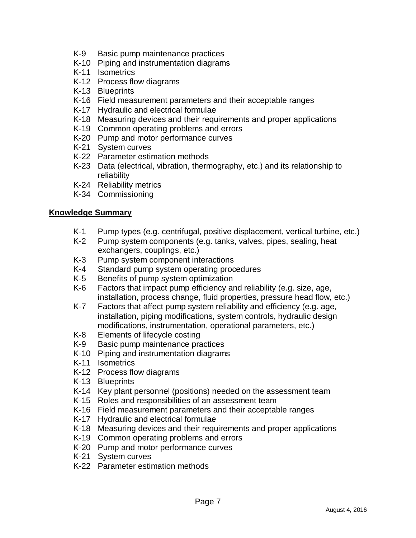- K-9 Basic pump maintenance practices
- K-10 Piping and instrumentation diagrams
- K-11 Isometrics
- K-12 Process flow diagrams
- K-13 Blueprints
- K-16 Field measurement parameters and their acceptable ranges
- K-17 Hydraulic and electrical formulae
- K-18 Measuring devices and their requirements and proper applications
- K-19 Common operating problems and errors
- K-20 Pump and motor performance curves
- K-21 System curves
- K-22 Parameter estimation methods
- K-23 Data (electrical, vibration, thermography, etc.) and its relationship to reliability
- K-24 Reliability metrics
- K-34 Commissioning

### **Knowledge Summary**

- K-1 Pump types (e.g. centrifugal, positive displacement, vertical turbine, etc.)
- K-2 Pump system components (e.g. tanks, valves, pipes, sealing, heat exchangers, couplings, etc.)
- K-3 Pump system component interactions
- K-4 Standard pump system operating procedures
- K-5 Benefits of pump system optimization
- K-6 Factors that impact pump efficiency and reliability (e.g. size, age, installation, process change, fluid properties, pressure head flow, etc.)
- K-7 Factors that affect pump system reliability and efficiency (e.g. age, installation, piping modifications, system controls, hydraulic design modifications, instrumentation, operational parameters, etc.)
- K-8 Elements of lifecycle costing
- K-9 Basic pump maintenance practices
- K-10 Piping and instrumentation diagrams
- K-11 Isometrics
- K-12 Process flow diagrams
- K-13 Blueprints
- K-14 Key plant personnel (positions) needed on the assessment team
- K-15 Roles and responsibilities of an assessment team
- K-16 Field measurement parameters and their acceptable ranges
- K-17 Hydraulic and electrical formulae
- K-18 Measuring devices and their requirements and proper applications
- K-19 Common operating problems and errors
- K-20 Pump and motor performance curves
- K-21 System curves
- K-22 Parameter estimation methods